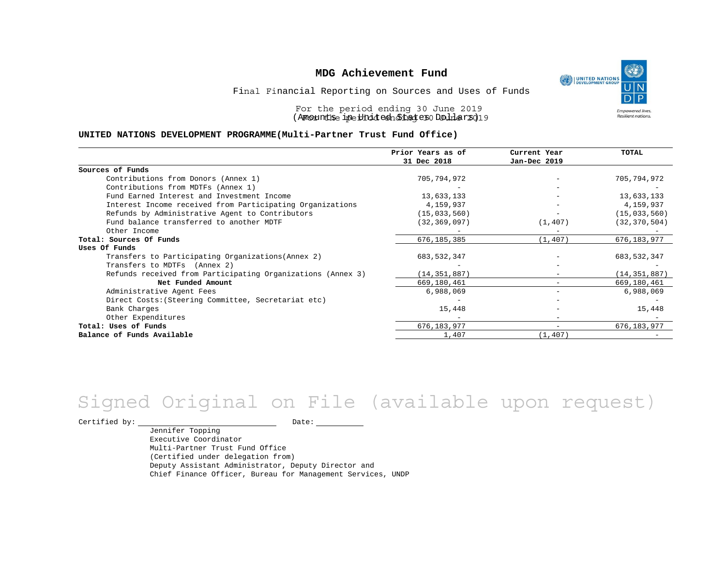

Final Financial Reporting on Sources and Uses of Funds

For the period ending 30 June 2019 (Anount be ine United and Lage 30 Duller 2019

#### **UNITED NATIONS DEVELOPMENT PROGRAMME(Multi-Partner Trust Fund Office)**

|                                                             | Prior Years as of | Current Year             | <b>TOTAL</b>   |
|-------------------------------------------------------------|-------------------|--------------------------|----------------|
|                                                             | 31 Dec 2018       | Jan-Dec 2019             |                |
| Sources of Funds                                            |                   |                          |                |
| Contributions from Donors (Annex 1)                         | 705,794,972       |                          | 705,794,972    |
| Contributions from MDTFs (Annex 1)                          |                   |                          |                |
| Fund Earned Interest and Investment Income                  | 13,633,133        |                          | 13,633,133     |
| Interest Income received from Participating Organizations   | 4,159,937         | $\equiv$                 | 4,159,937      |
| Refunds by Administrative Agent to Contributors             | (15, 033, 560)    |                          | (15, 033, 560) |
| Fund balance transferred to another MDTF                    | (32, 369, 097)    | (1, 407)                 | (32, 370, 504) |
| Other Income                                                |                   |                          |                |
| Total: Sources Of Funds                                     | 676, 185, 385     | (1, 407)                 | 676,183,977    |
| Uses Of Funds                                               |                   |                          |                |
| Transfers to Participating Organizations (Annex 2)          | 683, 532, 347     |                          | 683, 532, 347  |
| Transfers to MDTFs (Annex 2)                                |                   |                          |                |
| Refunds received from Participating Organizations (Annex 3) | (14, 351, 887)    | $-$                      | (14, 351, 887) |
| Net Funded Amount                                           | 669,180,461       |                          | 669,180,461    |
| Administrative Agent Fees                                   | 6,988,069         | $\overline{\phantom{0}}$ | 6,988,069      |
| Direct Costs: (Steering Committee, Secretariat etc)         |                   |                          |                |
| Bank Charges                                                | 15,448            |                          | 15,448         |
| Other Expenditures                                          |                   | $\overline{\phantom{0}}$ |                |
| Total: Uses of Funds                                        | 676, 183, 977     | $\qquad \qquad -$        | 676, 183, 977  |
| Balance of Funds Available                                  | 1,407             | (1, 407)                 |                |

# Signed Original on File (available upon request)

Certified by: Date:

Jennifer Topping Executive Coordinator Multi-Partner Trust Fund Office (Certified under delegation from) Deputy Assistant Administrator, Deputy Director and Chief Finance Officer, Bureau for Management Services, UNDP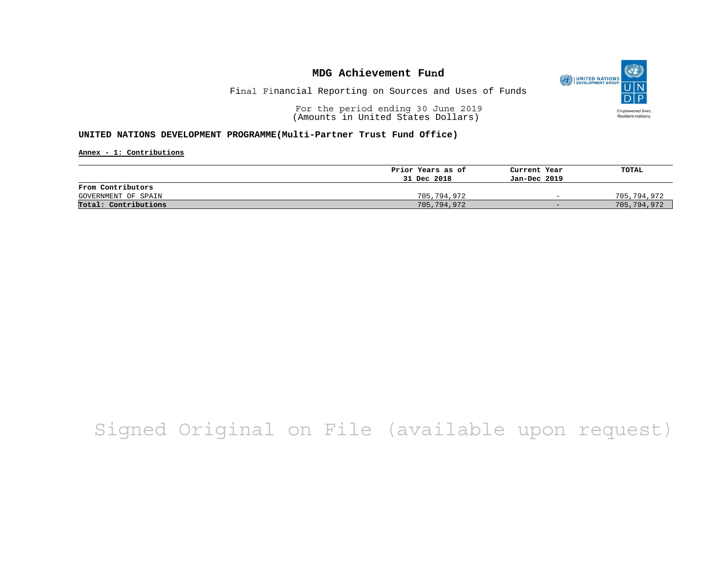

Final Financial Reporting on Sources and Uses of Funds

For the period ending 30 June 2019 (Amounts in United States Dollars)

### **UNITED NATIONS DEVELOPMENT PROGRAMME(Multi-Partner Trust Fund Office)**

**Annex - 1: Contributions**

|                      | Prior Years as of | Current Year             | TOTAL       |
|----------------------|-------------------|--------------------------|-------------|
|                      | 31 Dec 2018       | Jan-Dec 2019             |             |
| From Contributors    |                   |                          |             |
| GOVERNMENT OF SPAIN  | 705,794,972       | $\overline{\phantom{0}}$ | 705,794,972 |
| Total: Contributions | 705,794,972       | $-$                      | 705,794,972 |

# Signed Original on File (available upon request)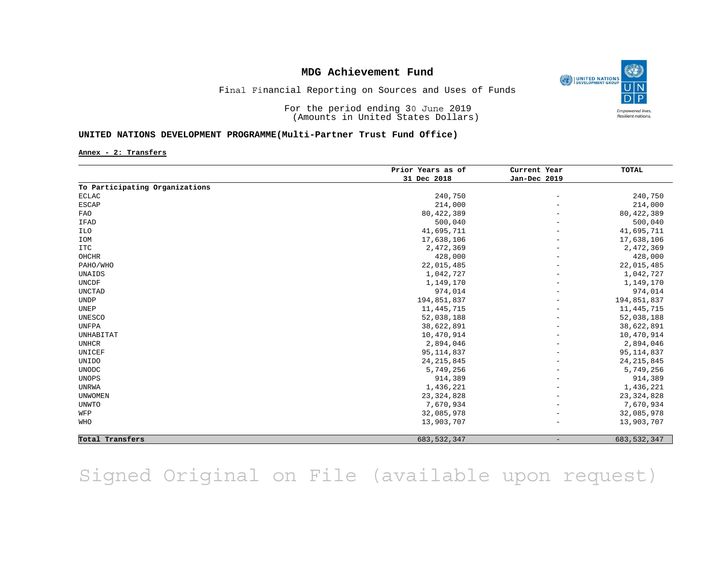

Final Financial Reporting on Sources and Uses of Funds

For the period ending 30 June 2019 (Amounts in United States Dollars)

### **UNITED NATIONS DEVELOPMENT PROGRAMME(Multi-Partner Trust Fund Office)**

**Annex - 2: Transfers**

|                                | Prior Years as of<br>31 Dec 2018 | Current Year<br>Jan-Dec 2019 | TOTAL         |
|--------------------------------|----------------------------------|------------------------------|---------------|
|                                |                                  |                              |               |
| To Participating Organizations |                                  |                              |               |
| <b>ECLAC</b>                   | 240,750                          | $\overline{\phantom{a}}$     | 240,750       |
| <b>ESCAP</b>                   | 214,000                          |                              | 214,000       |
| <b>FAO</b>                     | 80, 422, 389                     |                              | 80, 422, 389  |
| IFAD                           | 500,040                          |                              | 500,040       |
| <b>ILO</b>                     | 41,695,711                       |                              | 41,695,711    |
| IOM                            | 17,638,106                       |                              | 17,638,106    |
| <b>ITC</b>                     | 2,472,369                        |                              | 2,472,369     |
| OHCHR                          | 428,000                          |                              | 428,000       |
| PAHO/WHO                       | 22,015,485                       |                              | 22,015,485    |
| UNAIDS                         | 1,042,727                        |                              | 1,042,727     |
| <b>UNCDF</b>                   | 1,149,170                        |                              | 1,149,170     |
| <b>UNCTAD</b>                  | 974,014                          |                              | 974,014       |
| <b>UNDP</b>                    | 194,851,837                      |                              | 194,851,837   |
| UNEP                           | 11, 445, 715                     |                              | 11, 445, 715  |
| <b>UNESCO</b>                  | 52,038,188                       |                              | 52,038,188    |
| <b>UNFPA</b>                   | 38,622,891                       |                              | 38,622,891    |
| UNHABITAT                      | 10,470,914                       |                              | 10,470,914    |
| <b>UNHCR</b>                   | 2,894,046                        |                              | 2,894,046     |
| UNICEF                         | 95, 114, 837                     | $\overline{\phantom{m}}$     | 95, 114, 837  |
| <b>UNIDO</b>                   | 24, 215, 845                     |                              | 24, 215, 845  |
| <b>UNODC</b>                   | 5,749,256                        |                              | 5,749,256     |
| <b>UNOPS</b>                   | 914,389                          |                              | 914,389       |
| <b>UNRWA</b>                   | 1,436,221                        |                              | 1,436,221     |
| <b>UNWOMEN</b>                 | 23, 324, 828                     |                              | 23, 324, 828  |
| UNWTO                          | 7,670,934                        |                              | 7,670,934     |
| WFP                            | 32,085,978                       |                              | 32,085,978    |
| WHO                            | 13,903,707                       |                              | 13,903,707    |
| Total Transfers                | 683, 532, 347                    |                              | 683, 532, 347 |

Signed Original on File (available upon request)